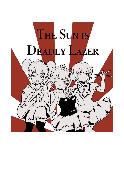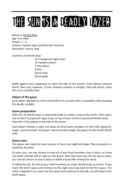# The Sun is a Deadly Lazer

Based on Up the River Age: 8 to adult Players: 2 - 4 Authors: Sydney Ayers and Brendan Hutchins Illustration: Jerecy Yang

Contents:10 World strips

10 Transparent night strips 12 Vampire pieces 7 City tokens 6 Dice Game rules Quick guide

Battle against your opponents to claim the title of the world's most famous vampire band! Take care, however, if your vampire remains in sunlight, they will perish, since the sun is a deadly lazer.

## **Object of the game**

Each player attempts to claim and perform at as many cities as possible while avoiding the deadly sunlight.

### **Game preparation**

Place the 10 World strips in sequential order to create a map of the Earth. Then, place one of the 9 Transparent night strips on top of each of the 9 uncovered World strips. Place the 7 City tokens to the side of the board.

Each player chooses a color and takes all three band members of that color (guitarist, singer, and drummer). All player's band members begin the game on the fourth World strip.

# **Game rules**

The player who slept the least amount of hours last night will begin. Play proceeds in a clockwise direction.

On your turn, you can choose to have all of your band members stay in place, or move one band member left or right on the board. Note that once you roll the die to move, you cannot choose to stay in place or battle a band after seeing the result.

If rolling the die, fly one of your band members as many World strips as shown. If you reach the tenth space and continue to the right, you loop back to the first space. The same is applied if you reach the first space and continue to the left, you will loop to the tenth space.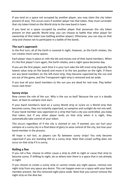If you land on a space not occupied by another player, you may claim the city token present (if any). This occurs even if another player has that token, they must surrender that city token listed on the World strip to the new band in town.

If you land on a space occupied by another player that possesses the city token present on that specific World strip, you can choose to battle that other player for ownership of that token (see battling another player). Otherwise, you can stay on that strip and choose not to participate in a battle of the bands.

## **The sun's approach**

In the first turn, all of the Earth is covered in night, however, as the Earth rotates, the sun creates more sunny spaces.

Each player stays in place or rolls the die and moves one of their band members. When it's the first player's turn again, the Earth rotates, and a night space becomes day.

If you are the first player, each time it is your turn take the left-most strip (typically the lowest value strip on the board) and move it to the last position on the right. If there are any band members on the left-most strip, they become vaporized by the sun and are out of the game, and the Transparent night strip is removed and set aside.

If you lose all your band members to the sun you are dead for real now. Play better music next time!

### **Sunny strips**

Now comes the role of the sun. Why is the sun so bad? Because the sun is a deadly lazer, at least to vampire rock stars.

If your band member/s land on a sunny World strip or is/are on a World strip that becomes sunny, they are instantly vaporized, as vampires and sunlight do not mix well. If your band member was vaporized on a strip that had a city you controlled, you keep that token, but if any other player lands on that strip when it is night, they automatically take control of your token.

This occurs regardless of if the city is claimed or not. If wanted, you can hurl your vampire at a sunny city in a final blaze of glory to seize control of the city, but lose your band member in the process.

All hope is not lost, as players can fly between sunny strips! You only become vaporized if you are standing still on a sunny strip. Note that crowd surfing does not occur on that strip if it is sunny.

### **Rolling a five**

If you roll a five, choose to either cause a strip to shift to night or cause that strip to become sunny. If shifting to night, do so where ever there is a space that is not already in night.

If you choose to create a sunny strip or cannot create any night spaces, remove one night strip from any space you desire. This can happen even on a space with your band member present. Set this removed night piece aside. Note that you cannot remove the night strip on the dive bar.